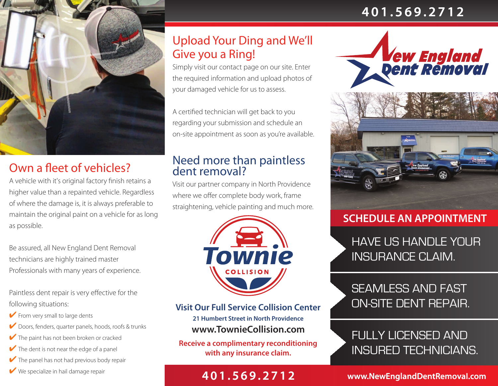# **401.569.2712**



# Own a fleet of vehicles?

A vehicle with it's original factory finish retains a higher value than a repainted vehicle. Regardless of where the damage is, it is always preferable to maintain the original paint on a vehicle for as long as possible.

Be assured, all New England Dent Removal technicians are highly trained master Professionals with many years of experience.

Paintless dent repair is very effective for the following situations:

- $\blacktriangleright$  From very small to large dents
- ✔ Doors, fenders, quarter panels, hoods, roofs & trunks
- $\blacktriangleright$  The paint has not been broken or cracked
- $\blacktriangleright$  The dent is not near the edge of a panel
- $\blacktriangleright$  The panel has not had previous body repair
- 

## Upload Your Ding and We'll Give you a Ring!

Simply visit our contact page on our site. Enter the required information and upload photos of your damaged vehicle for us to assess.

A certified technician will get back to you regarding your submission and schedule an on-site appointment as soon as you're available.

## Need more than paintless dent removal?

Visit our partner company in North Providence where we offer complete body work, frame straightening, vehicle painting and much more.



**www.TownieCollision.com Visit Our Full Service Collision Center 21 Humbert Street in North Providence**

**Receive a complimentary reconditioning with any insurance claim.**

# **1** We specialize in hail damage repair **401.569.2712**



### **SCHEDULE AN APPOINTMENT**

HAVE US HANDLE YOUR INSURANCE CLAIM.

# SEAMLESS AND FAST ON-SITE DENT REPAIR.

# FULLY LICENSED AND INSURED TECHNICIANS.

**www.NewEnglandDentRemovaI.com**